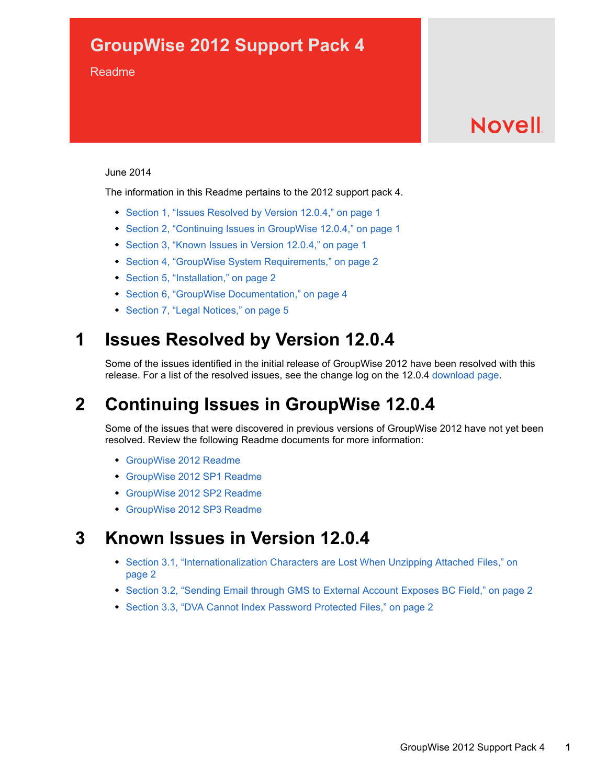## **GroupWise 2012 Support Pack 4**

#### Readme

# **Novell**

#### June 2014

The information in this Readme pertains to the 2012 support pack 4.

- [Section 1, "Issues Resolved by Version 12.0.4," on page 1](#page-0-0)
- [Section 2, "Continuing Issues in GroupWise 12.0.4," on page 1](#page-0-1)
- [Section 3, "Known Issues in Version 12.0.4," on page 1](#page-0-2)
- [Section 4, "GroupWise System Requirements," on page 2](#page-1-0)
- [Section 5, "Installation," on page 2](#page-1-1)
- [Section 6, "GroupWise Documentation," on page 4](#page-3-0)
- [Section 7, "Legal Notices," on page 5](#page-4-0)

## <span id="page-0-0"></span>**1 Issues Resolved by Version 12.0.4**

Some of the issues identified in the initial release of GroupWise 2012 have been resolved with this release. For a list of the resolved issues, see the change log on the 12.0.4 [download page.](http://download.novell.com/)

## <span id="page-0-1"></span>**2 Continuing Issues in GroupWise 12.0.4**

Some of the issues that were discovered in previous versions of GroupWise 2012 have not yet been resolved. Review the following Readme documents for more information:

- [GroupWise 2012 Readme](https://www.novell.com/documentation/groupwise2012/gw2012_readme_full/data/gw2012_readme_full.html)
- [GroupWise 2012 SP1 Readme](https://www.novell.com/documentation/groupwise2012/gw2012_readme_sp1/data/gw2012_readme_sp1.html)
- [GroupWise 2012 SP2 Readme](https://www.novell.com/documentation/groupwise2012/gw2012_readme_sp2/data/gw2012_readme_sp2.html)
- [GroupWise 2012 SP3 Readme](https://www.novell.com/documentation/groupwise2012/gw2012_readme_sp3/data/gw2012_readme_sp3.html)

## <span id="page-0-2"></span>**3 Known Issues in Version 12.0.4**

- Section 3.1, "Internationalization Characters are Lost When Unzipping Attached Files," on [page 2](#page-1-3)
- [Section 3.2, "Sending Email through GMS to External Account Exposes BC Field," on page 2](#page-1-4)
- [Section 3.3, "DVA Cannot Index Password Protected Files," on page 2](#page-1-2)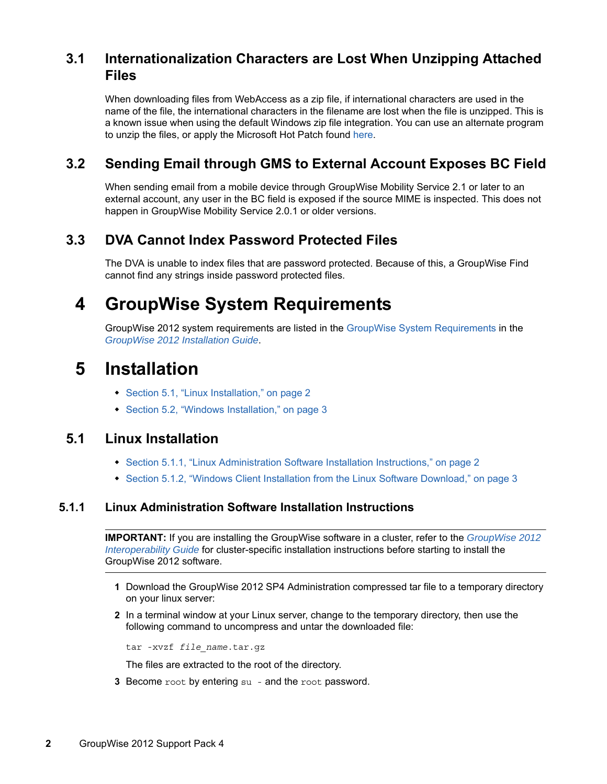### <span id="page-1-3"></span>**3.1 Internationalization Characters are Lost When Unzipping Attached Files**

When downloading files from WebAccess as a zip file, if international characters are used in the name of the file, the international characters in the filename are lost when the file is unzipped. This is a known issue when using the default Windows zip file integration. You can use an alternate program to unzip the files, or apply the Microsoft Hot Patch found [here](https://support.microsoft.com/en-us/kb/2704299).

### <span id="page-1-4"></span>**3.2 Sending Email through GMS to External Account Exposes BC Field**

When sending email from a mobile device through GroupWise Mobility Service 2.1 or later to an external account, any user in the BC field is exposed if the source MIME is inspected. This does not happen in GroupWise Mobility Service 2.0.1 or older versions.

### <span id="page-1-2"></span>**3.3 DVA Cannot Index Password Protected Files**

The DVA is unable to index files that are password protected. Because of this, a GroupWise Find cannot find any strings inside password protected files.

## <span id="page-1-0"></span>**4 GroupWise System Requirements**

GroupWise 2012 system requirements are listed in the [GroupWise System Requirements](https://www.novell.com/documentation/groupwise2012/pdfdoc/gw2012_guide_install/gw2012_guide_install.pdf#bp8vh01) in the *[GroupWise 2012 Installation Guide](https://www.novell.com/documentation/groupwise2012/pdfdoc/gw2012_guide_install/gw2012_guide_install.pdf#gw2012guideinst)*.

### <span id="page-1-1"></span>**5 Installation**

- [Section 5.1, "Linux Installation," on page 2](#page-1-5)
- [Section 5.2, "Windows Installation," on page 3](#page-2-0)

### <span id="page-1-5"></span>**5.1 Linux Installation**

- [Section 5.1.1, "Linux Administration Software Installation Instructions," on page 2](#page-1-6)
- [Section 5.1.2, "Windows Client Installation from the Linux Software Download," on page 3](#page-2-1)

#### <span id="page-1-6"></span>**5.1.1 Linux Administration Software Installation Instructions**

**IMPORTANT:** If you are installing the GroupWise software in a cluster, refer to the *[GroupWise 2012](https://www.novell.com/documentation/groupwise2012/pdfdoc/gw2012_guide_interop/gw2012_guide_interop.pdf#A20gkue)  [Interoperability Guide](https://www.novell.com/documentation/groupwise2012/pdfdoc/gw2012_guide_interop/gw2012_guide_interop.pdf#A20gkue)* for cluster-specific installation instructions before starting to install the GroupWise 2012 software.

- **1** Download the GroupWise 2012 SP4 Administration compressed tar file to a temporary directory on your linux server:
- **2** In a terminal window at your Linux server, change to the temporary directory, then use the following command to uncompress and untar the downloaded file:

tar -xvzf *file\_name*.tar.gz

The files are extracted to the root of the directory.

**3** Become root by entering su - and the root password.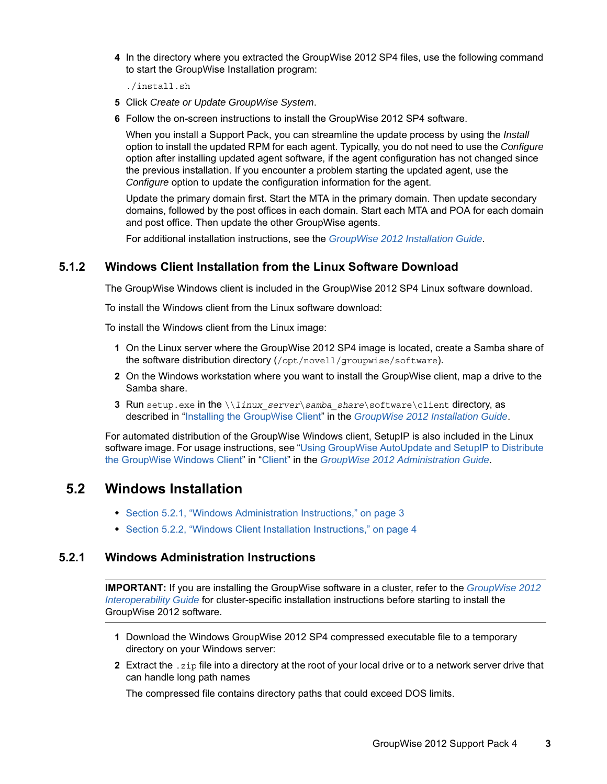**4** In the directory where you extracted the GroupWise 2012 SP4 files, use the following command to start the GroupWise Installation program:

./install.sh

- **5** Click *Create or Update GroupWise System*.
- **6** Follow the on-screen instructions to install the GroupWise 2012 SP4 software.

When you install a Support Pack, you can streamline the update process by using the *Install* option to install the updated RPM for each agent. Typically, you do not need to use the *Configure* option after installing updated agent software, if the agent configuration has not changed since the previous installation. If you encounter a problem starting the updated agent, use the *Configure* option to update the configuration information for the agent.

Update the primary domain first. Start the MTA in the primary domain. Then update secondary domains, followed by the post offices in each domain. Start each MTA and POA for each domain and post office. Then update the other GroupWise agents.

For additional installation instructions, see the *[GroupWise 2012 Installation Guide](https://www.novell.com/documentation/groupwise2012/pdfdoc/gw2012_guide_install/gw2012_guide_install.pdf#gw2012guideinst)*.

#### <span id="page-2-1"></span>**5.1.2 Windows Client Installation from the Linux Software Download**

The GroupWise Windows client is included in the GroupWise 2012 SP4 Linux software download.

To install the Windows client from the Linux software download:

To install the Windows client from the Linux image:

- **1** On the Linux server where the GroupWise 2012 SP4 image is located, create a Samba share of the software distribution directory (/opt/novell/groupwise/software).
- **2** On the Windows workstation where you want to install the GroupWise client, map a drive to the Samba share.
- **3** Run setup.exe in the  $\langle$  linux server $\langle$  samba share $\langle$  software $\langle$ client directory, as described in "[Installing the GroupWise Client](https://www.novell.com/documentation/groupwise2012/pdfdoc/gw2012_guide_install/gw2012_guide_install.pdf#A2iiipr)" in the *[GroupWise 2012 Installation Guide](https://www.novell.com/documentation/groupwise2012/pdfdoc/gw2012_guide_install/gw2012_guide_install.pdf#gw2012guideinst)*.

For automated distribution of the GroupWise Windows client, SetupIP is also included in the Linux software image. For usage instructions, see "Using GroupWise AutoUpdate and SetupIP to Distribute [the GroupWise Windows Client](https://www.novell.com/documentation/groupwise2012/pdfdoc/gw2012_guide_admin/gw2012_guide_admin.pdf#bv4v0uy)" in ["Client"](https://www.novell.com/documentation/groupwise2012/pdfdoc/gw2012_guide_admin/gw2012_guide_admin.pdf#A7q51s6) in the *[GroupWise 2012 Administration Guide](https://www.novell.com/documentation/groupwise2012/pdfdoc/gw2012_guide_admin/gw2012_guide_admin.pdf#A2zvyc4)*.

#### <span id="page-2-0"></span>**5.2 Windows Installation**

- [Section 5.2.1, "Windows Administration Instructions," on page 3](#page-2-2)
- [Section 5.2.2, "Windows Client Installation Instructions," on page 4](#page-3-1)

#### <span id="page-2-2"></span>**5.2.1 Windows Administration Instructions**

**IMPORTANT:** If you are installing the GroupWise software in a cluster, refer to the *[GroupWise 2012](https://www.novell.com/documentation/groupwise2012/pdfdoc/gw2012_guide_interop/gw2012_guide_interop.pdf#A20gkue)  [Interoperability Guide](https://www.novell.com/documentation/groupwise2012/pdfdoc/gw2012_guide_interop/gw2012_guide_interop.pdf#A20gkue)* for cluster-specific installation instructions before starting to install the GroupWise 2012 software.

- **1** Download the Windows GroupWise 2012 SP4 compressed executable file to a temporary directory on your Windows server:
- **2** Extract the .zip file into a directory at the root of your local drive or to a network server drive that can handle long path names

The compressed file contains directory paths that could exceed DOS limits.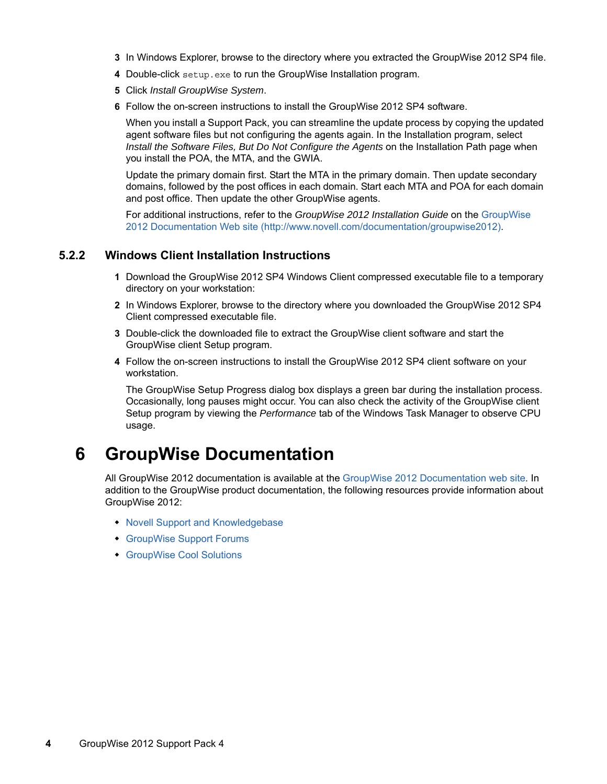- **3** In Windows Explorer, browse to the directory where you extracted the GroupWise 2012 SP4 file.
- **4** Double-click setup.exe to run the GroupWise Installation program.
- **5** Click *Install GroupWise System*.
- **6** Follow the on-screen instructions to install the GroupWise 2012 SP4 software.

When you install a Support Pack, you can streamline the update process by copying the updated agent software files but not configuring the agents again. In the Installation program, select *Install the Software Files, But Do Not Configure the Agents* on the Installation Path page when you install the POA, the MTA, and the GWIA.

Update the primary domain first. Start the MTA in the primary domain. Then update secondary domains, followed by the post offices in each domain. Start each MTA and POA for each domain and post office. Then update the other GroupWise agents.

For additional instructions, refer to the *GroupWise 2012 Installation Guide* on the [GroupWise](http://www.novell.com/documentation/groupwise2012)  [2012 Documentation Web site](http://www.novell.com/documentation/groupwise2012) (http://www.novell.com/documentation/groupwise2012).

#### <span id="page-3-1"></span>**5.2.2 Windows Client Installation Instructions**

- **1** Download the GroupWise 2012 SP4 Windows Client compressed executable file to a temporary directory on your workstation:
- **2** In Windows Explorer, browse to the directory where you downloaded the GroupWise 2012 SP4 Client compressed executable file.
- **3** Double-click the downloaded file to extract the GroupWise client software and start the GroupWise client Setup program.
- **4** Follow the on-screen instructions to install the GroupWise 2012 SP4 client software on your workstation.

The GroupWise Setup Progress dialog box displays a green bar during the installation process. Occasionally, long pauses might occur. You can also check the activity of the GroupWise client Setup program by viewing the *Performance* tab of the Windows Task Manager to observe CPU usage.

## <span id="page-3-0"></span>**6 GroupWise Documentation**

All GroupWise 2012 documentation is available at the [GroupWise 2012 Documentation web site](http://www.novell.com/documentation/groupwise2012). In addition to the GroupWise product documentation, the following resources provide information about GroupWise 2012:

- [Novell Support and Knowledgebase](http://www.novell.com/support)
- [GroupWise Support Forums](https://forums.novell.com/forumdisplay.php?&f=356)
- [GroupWise Cool Solutions](http://www.novell.com/communities/coolsolutions/gwmag)